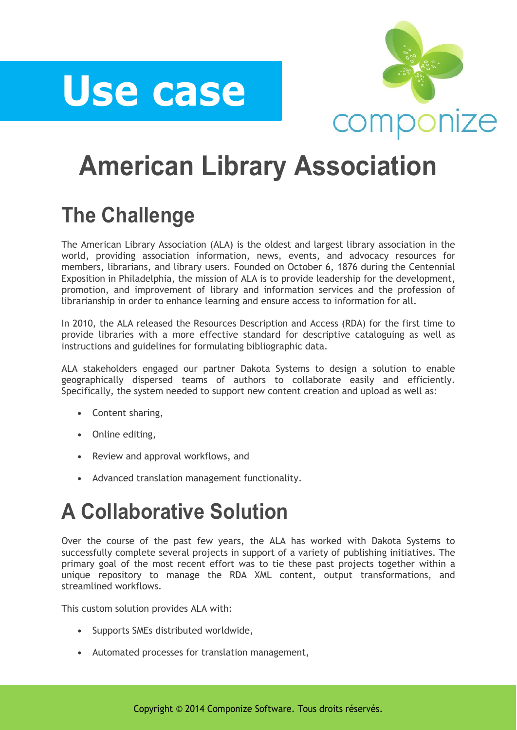



# **American Library Association**

# **The Challenge**

The American Library Association (ALA) is the oldest and largest library association in the world, providing association information, news, events, and advocacy resources for members, librarians, and library users. Founded on October 6, 1876 during the Centennial Exposition in Philadelphia, the mission of ALA is to provide leadership for the development, promotion, and improvement of library and information services and the profession of librarianship in order to enhance learning and ensure access to information for all.

In 2010, the ALA released the Resources Description and Access (RDA) for the first time to provide libraries with a more effective standard for descriptive cataloguing as well as instructions and guidelines for formulating bibliographic data.

ALA stakeholders engaged our partner Dakota Systems to design a solution to enable geographically dispersed teams of authors to collaborate easily and efficiently. Specifically, the system needed to support new content creation and upload as well as:

- **•** Content sharing,
- **•** Online editing,
- **•** Review and approval workflows, and
- **•** Advanced translation management functionality.

### **A Collaborative Solution**

Over the course of the past few years, the ALA has worked with Dakota Systems to successfully complete several projects in support of a variety of publishing initiatives. The primary goal of the most recent effort was to tie these past projects together within a unique repository to manage the RDA XML content, output transformations, and streamlined workflows.

This custom solution provides ALA with:

- **•** Supports SMEs distributed worldwide,
- **•** Automated processes for translation management,